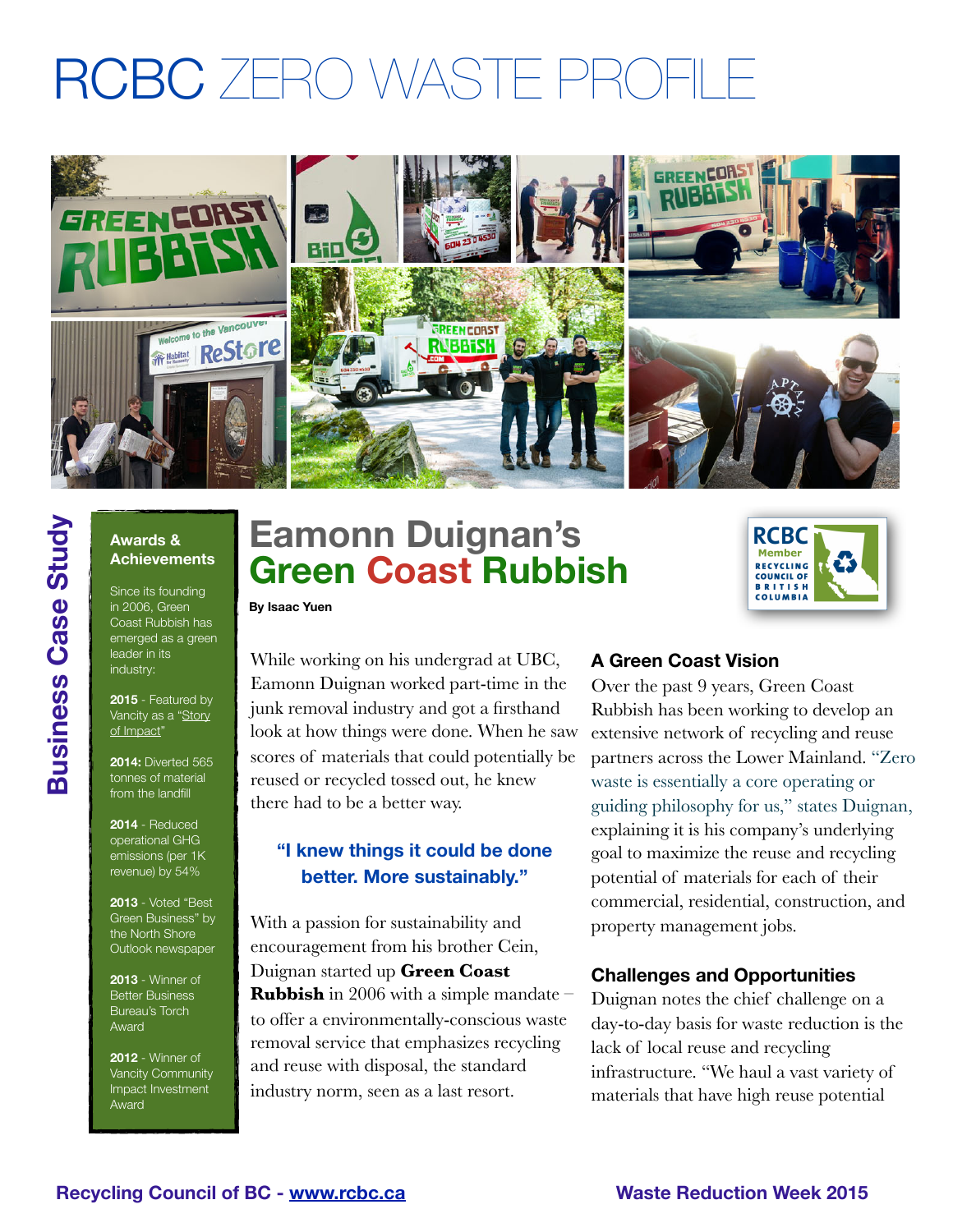# RCBC 7FRO WASTE PROFI



# **Awards & Achievements**

**Business Case Study**

**Business Case Study** 

Since its founding in 2006, Green Coast Rubbish has emerged as a green leader in its industry:

**2015** - Featured by Vancity as a "Story [of Impact"](https://www.vancity.com/AboutVancity/InvestingInCommunities/StoriesOfImpact/Energy/GreenCoastRubbish/)

**2014:** Diverted 565 tonnes of material from the landfill

**2014** - Reduced operational GHG emissions (per 1K revenue) by 54%

**2013** - Voted "Best Green Business" by the North Shore Outlook newspaper

**2013** - Winner of **Better Business** Bureau's Torch Award

**2012** - Winner of Vancity Community Impact Investment Award

# **Eamonn Duignan's Green Coast Rubbish**



**By Isaac Yuen**

While working on his undergrad at UBC, Eamonn Duignan worked part-time in the junk removal industry and got a firsthand look at how things were done. When he saw scores of materials that could potentially be reused or recycled tossed out, he knew there had to be a better way.

# **"I knew things it could be done better. More sustainably."**

With a passion for sustainability and encouragement from his brother Cein, Duignan started up **[Green Coast](http://livepage.apple.com/)  [Rubbish](http://livepage.apple.com/)** in 2006 with a simple mandate – to offer a environmentally-conscious waste removal service that emphasizes recycling and reuse with disposal, the standard industry norm, seen as a last resort.

## **A Green Coast Vision**

Over the past 9 years, Green Coast Rubbish has been working to develop an extensive network of recycling and reuse partners across the Lower Mainland. "Zero waste is essentially a core operating or guiding philosophy for us," states Duignan, explaining it is his company's underlying goal to maximize the reuse and recycling potential of materials for each of their commercial, residential, construction, and property management jobs.

## **Challenges and Opportunities**

Duignan notes the chief challenge on a day-to-day basis for waste reduction is the lack of local reuse and recycling infrastructure. "We haul a vast variety of materials that have high reuse potential